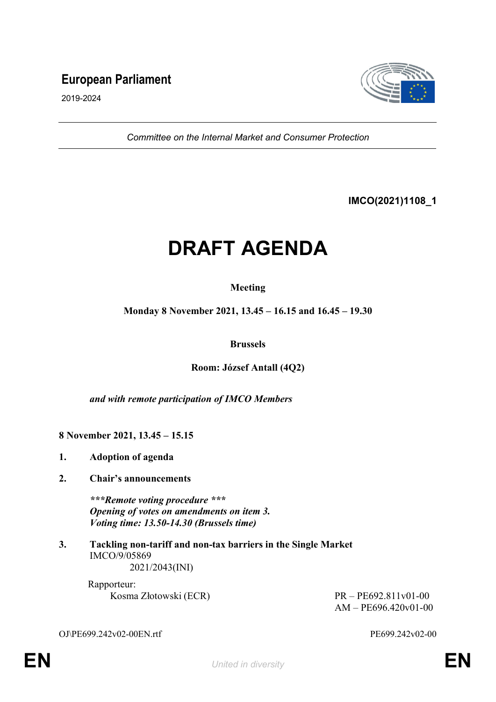# **European Parliament**



2019-2024

*Committee on the Internal Market and Consumer Protection*

**IMCO(2021)1108\_1**

# **DRAFT AGENDA**

# **Meeting**

**Monday 8 November 2021, 13.45 – 16.15 and 16.45 – 19.30**

### **Brussels**

# **Room: József Antall (4Q2)**

*and with remote participation of IMCO Members*

**8 November 2021, 13.45 – 15.15**

- **1. Adoption of agenda**
- **2. Chair's announcements**

*\*\*\*Remote voting procedure \*\*\* Opening of votes on amendments on item 3. Voting time: 13.50-14.30 (Brussels time)*

**3. Tackling non-tariff and non-tax barriers in the Single Market** IMCO/9/05869 2021/2043(INI)

> Rapporteur: Kosma Złotowski (ECR) PR – PE692.811v01-00

AM – PE696.420v01-00

OJ\PE699.242v02-00EN.rtf PE699.242v02-00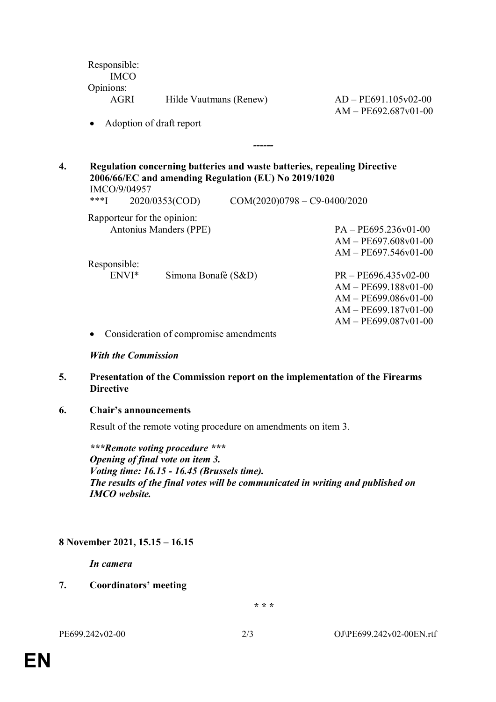| Hilde Vautmans (Renew)                       | $AD - PE691.105v02-00$<br>$AM - PE692.687v01-00$                                                                                                                                                                                                |
|----------------------------------------------|-------------------------------------------------------------------------------------------------------------------------------------------------------------------------------------------------------------------------------------------------|
|                                              |                                                                                                                                                                                                                                                 |
|                                              |                                                                                                                                                                                                                                                 |
|                                              |                                                                                                                                                                                                                                                 |
|                                              |                                                                                                                                                                                                                                                 |
| Antonius Manders (PPE)                       | $PA - PE695.236v01-00$                                                                                                                                                                                                                          |
|                                              | $AM - PE697.608v01-00$                                                                                                                                                                                                                          |
|                                              | $AM - PE697.546v01-00$                                                                                                                                                                                                                          |
|                                              |                                                                                                                                                                                                                                                 |
| Responsible:<br>ENVI*<br>Simona Bonafè (S&D) | $PR - PE696.435v02-00$                                                                                                                                                                                                                          |
|                                              | $AM - PE699.188v01-00$                                                                                                                                                                                                                          |
|                                              | $AM - PE699.086v01-00$                                                                                                                                                                                                                          |
|                                              | $AM - PE699.187v01-00$                                                                                                                                                                                                                          |
|                                              | $AM - PE699.087v01-00$                                                                                                                                                                                                                          |
| Consideration of compromise amendments       |                                                                                                                                                                                                                                                 |
|                                              | Adoption of draft report<br>Regulation concerning batteries and waste batteries, repealing Directive<br>2006/66/EC and amending Regulation (EU) No 2019/1020<br>2020/0353(COD)<br>$COM(2020)0798 - C9-0400/2020$<br>Rapporteur for the opinion: |

#### *With the Commission*

#### **5. Presentation of the Commission report on the implementation of the Firearms Directive**

#### **6. Chair's announcements**

Result of the remote voting procedure on amendments on item 3.

*\*\*\*Remote voting procedure \*\*\* Opening of final vote on item 3. Voting time: 16.15 - 16.45 (Brussels time). The results of the final votes will be communicated in writing and published on IMCO website.*

# **8 November 2021, 15.15 – 16.15**

*In camera*

**7. Coordinators' meeting**

*\* \* \**